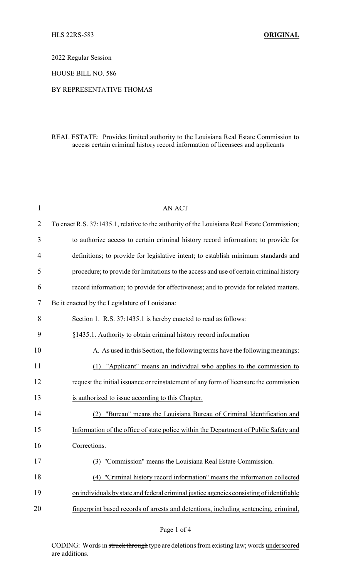2022 Regular Session

HOUSE BILL NO. 586

## BY REPRESENTATIVE THOMAS

## REAL ESTATE: Provides limited authority to the Louisiana Real Estate Commission to access certain criminal history record information of licensees and applicants

| $\mathbf 1$    | <b>AN ACT</b>                                                                               |
|----------------|---------------------------------------------------------------------------------------------|
| $\overline{2}$ | To enact R.S. 37:1435.1, relative to the authority of the Louisiana Real Estate Commission; |
| 3              | to authorize access to certain criminal history record information; to provide for          |
| 4              | definitions; to provide for legislative intent; to establish minimum standards and          |
| 5              | procedure; to provide for limitations to the access and use of certain criminal history     |
| 6              | record information; to provide for effectiveness; and to provide for related matters.       |
| 7              | Be it enacted by the Legislature of Louisiana:                                              |
| 8              | Section 1. R.S. 37:1435.1 is hereby enacted to read as follows:                             |
| 9              | §1435.1. Authority to obtain criminal history record information                            |
| 10             | A. As used in this Section, the following terms have the following meanings:                |
| 11             | (1) "Applicant" means an individual who applies to the commission to                        |
| 12             | request the initial issuance or reinstatement of any form of licensure the commission       |
| 13             | is authorized to issue according to this Chapter.                                           |
| 14             | "Bureau" means the Louisiana Bureau of Criminal Identification and<br>(2)                   |
| 15             | Information of the office of state police within the Department of Public Safety and        |
| 16             | Corrections.                                                                                |
| 17             | (3) "Commission" means the Louisiana Real Estate Commission.                                |
| 18             | "Criminal history record information" means the information collected<br>(4)                |
| 19             | on individuals by state and federal criminal justice agencies consisting of identifiable    |
| 20             | fingerprint based records of arrests and detentions, including sentencing, criminal,        |

CODING: Words in struck through type are deletions from existing law; words underscored are additions.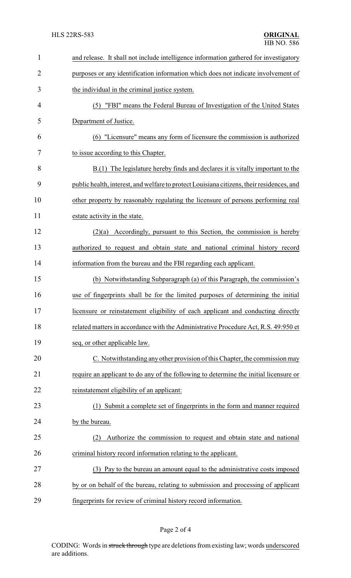| $\mathbf{1}$   | and release. It shall not include intelligence information gathered for investigatory     |  |
|----------------|-------------------------------------------------------------------------------------------|--|
| $\overline{2}$ | purposes or any identification information which does not indicate involvement of         |  |
| 3              | the individual in the criminal justice system.                                            |  |
| 4              | "FBI" means the Federal Bureau of Investigation of the United States<br>(5)               |  |
| 5              | Department of Justice.                                                                    |  |
| 6              | (6) "Licensure" means any form of licensure the commission is authorized                  |  |
| 7              | to issue according to this Chapter.                                                       |  |
| 8              | $B(1)$ The legislature hereby finds and declares it is vitally important to the           |  |
| 9              | public health, interest, and welfare to protect Louisiana citizens, their residences, and |  |
| 10             | other property by reasonably regulating the licensure of persons performing real          |  |
| 11             | estate activity in the state.                                                             |  |
| 12             | $(2)(a)$ Accordingly, pursuant to this Section, the commission is hereby                  |  |
| 13             | authorized to request and obtain state and national criminal history record               |  |
| 14             | information from the bureau and the FBI regarding each applicant.                         |  |
| 15             | (b) Notwithstanding Subparagraph (a) of this Paragraph, the commission's                  |  |
| 16             | use of fingerprints shall be for the limited purposes of determining the initial          |  |
| 17             | licensure or reinstatement eligibility of each applicant and conducting directly          |  |
| 18             | related matters in accordance with the Administrative Procedure Act, R.S. 49:950 et       |  |
| 19             | seq, or other applicable law.                                                             |  |
| 20             | C. Notwithstanding any other provision of this Chapter, the commission may                |  |
| 21             | require an applicant to do any of the following to determine the initial licensure or     |  |
| 22             | reinstatement eligibility of an applicant:                                                |  |
| 23             | (1) Submit a complete set of fingerprints in the form and manner required                 |  |
| 24             | by the bureau.                                                                            |  |
| 25             | Authorize the commission to request and obtain state and national<br>(2)                  |  |
| 26             | criminal history record information relating to the applicant.                            |  |
| 27             | (3) Pay to the bureau an amount equal to the administrative costs imposed                 |  |
| 28             | by or on behalf of the bureau, relating to submission and processing of applicant         |  |
| 29             | fingerprints for review of criminal history record information.                           |  |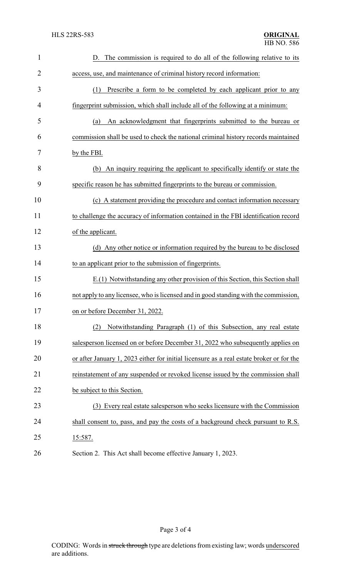| $\mathbf{1}$   | D. The commission is required to do all of the following relative to its                 |
|----------------|------------------------------------------------------------------------------------------|
| $\overline{2}$ | access, use, and maintenance of criminal history record information:                     |
| 3              | Prescribe a form to be completed by each applicant prior to any<br>(1)                   |
| 4              | fingerprint submission, which shall include all of the following at a minimum:           |
| 5              | An acknowledgment that fingerprints submitted to the bureau or<br>(a)                    |
| 6              | commission shall be used to check the national criminal history records maintained       |
| 7              | by the FBI.                                                                              |
| 8              | An inquiry requiring the applicant to specifically identify or state the<br>(b)          |
| 9              | specific reason he has submitted fingerprints to the bureau or commission.               |
| 10             | (c) A statement providing the procedure and contact information necessary                |
| 11             | to challenge the accuracy of information contained in the FBI identification record      |
| 12             | of the applicant.                                                                        |
| 13             | (d) Any other notice or information required by the bureau to be disclosed               |
| 14             | to an applicant prior to the submission of fingerprints.                                 |
| 15             | E.(1) Notwithstanding any other provision of this Section, this Section shall            |
| 16             | not apply to any licensee, who is licensed and in good standing with the commission,     |
| 17             | on or before December 31, 2022.                                                          |
| 18             | Notwithstanding Paragraph (1) of this Subsection, any real estate<br>(2)                 |
| 19             | salesperson licensed on or before December 31, 2022 who subsequently applies on          |
| 20             | or after January 1, 2023 either for initial licensure as a real estate broker or for the |
| 21             | reinstatement of any suspended or revoked license issued by the commission shall         |
| 22             | be subject to this Section.                                                              |
| 23             | (3) Every real estate salesperson who seeks licensure with the Commission                |
| 24             | shall consent to, pass, and pay the costs of a background check pursuant to R.S.         |
| 25             | 15:587.                                                                                  |
| 26             | Section 2. This Act shall become effective January 1, 2023.                              |